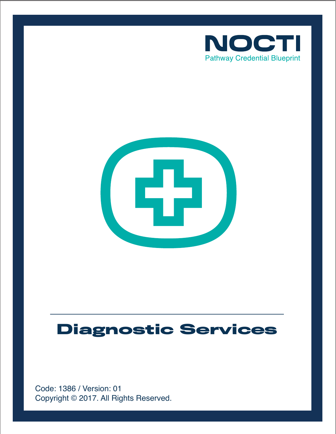



# **Diagnostic Services**

Copyright © 2017. All Rights Reserved. Code: 1386 / Version: 01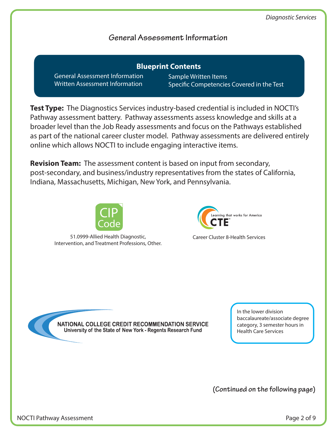## **General Assessment Information**

General Assessment Information Written Assessment Information **Blueprint Contents**

Sample Written Items Specific Competencies Covered in the Test

**Test Type:** The Diagnostics Services industry-based credential is included in NOCTI's Pathway assessment battery. Pathway assessments assess knowledge and skills at a broader level than the Job Ready assessments and focus on the Pathways established as part of the national career cluster model. Pathway assessments are delivered entirely online which allows NOCTI to include engaging interactive items.

**Revision Team:** The assessment content is based on input from secondary, post-secondary, and business/industry representatives from the states of California, Indiana, Massachusetts, Michigan, New York, and Pennsylvania.



51.0999-Allied Health Diagnostic, Intervention, and Treatment Professions, Other.



Career Cluster 8-Health Services

NATIONAL COLLEGE CREDIT RECOMMENDATION SERVICE University of the State of New York - Regents Research Fund

In the lower division baccalaureate/associate degree category, 3 semester hours in Health Care Services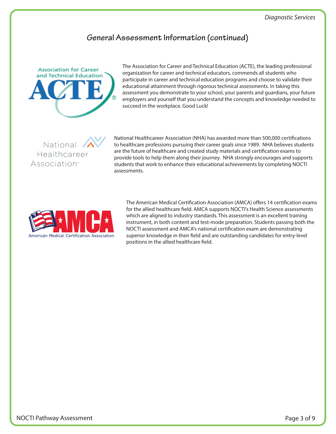#### **General Assessment Information (continued)**



The Association for Career and Technical Education (ACTE), the leading professional organization for career and technical educators, commends all students who participate in career and technical education programs and choose to validate their educational attainment through rigorous technical assessments. In taking this assessment you demonstrate to your school, your parents and guardians, your future employers and yourself that you understand the concepts and knowledge needed to succeed in the workplace. Good Luck!

National Healthcareer Association<sup>®</sup>

National Healthcareer Association (NHA) has awarded more than 500,000 certifications to healthcare professions pursuing their career goals since 1989. NHA believes students are the future of healthcare and created study materials and certification exams to provide tools to help them along their journey. NHA strongly encourages and supports students that work to enhance their educational achievements by completing NOCTI assessments.



The American Medical Certification Association (AMCA) offers 14 certification exams for the allied healthcare field. AMCA supports NOCTI's Health Science assessments which are aligned to industry standards. This assessment is an excellent training instrument, in both content and test-mode preparation. Students passing both the NOCTI assessment and AMCA's national certification exam are demonstrating superior knowledge in their field and are outstanding candidates for entry-level positions in the allied healthcare field.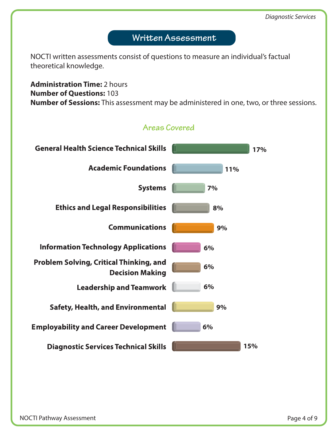# Written Assessment

NOCTI written assessments consist of questions to measure an individual's factual theoretical knowledge.

**Administration Time:** 2 hours **Number of Questions:** 103 **Number of Sessions:** This assessment may be administered in one, two, or three sessions.

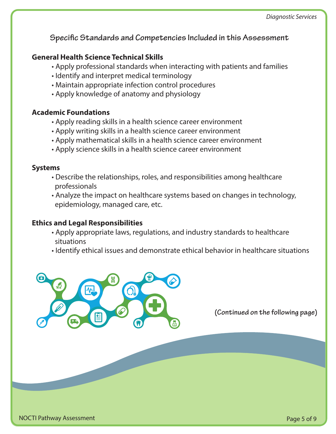**Specific Standards and Competencies Included in this Assessment** 

## **General Health Science Technical Skills**

- Apply professional standards when interacting with patients and families
- Identify and interpret medical terminology
- Maintain appropriate infection control procedures
- Apply knowledge of anatomy and physiology

#### **Academic Foundations**

- Apply reading skills in a health science career environment
- Apply writing skills in a health science career environment
- Apply mathematical skills in a health science career environment
- Apply science skills in a health science career environment

#### **Systems**

- Describe the relationships, roles, and responsibilities among healthcare professionals
- Analyze the impact on healthcare systems based on changes in technology, epidemiology, managed care, etc.

#### **Ethics and Legal Responsibilities**

- Apply appropriate laws, regulations, and industry standards to healthcare situations
- Identify ethical issues and demonstrate ethical behavior in healthcare situations

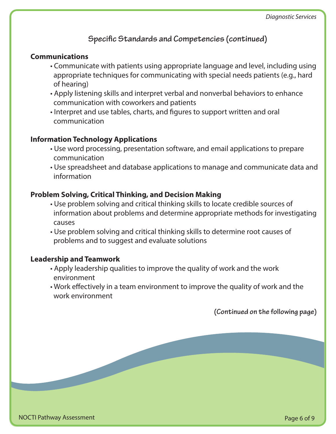## **Specific Standards and Competencies (continued)**

#### **Communications**

- Communicate with patients using appropriate language and level, including using appropriate techniques for communicating with special needs patients (e.g., hard of hearing)
- Apply listening skills and interpret verbal and nonverbal behaviors to enhance communication with coworkers and patients
- Interpret and use tables, charts, and figures to support written and oral communication

#### **Information Technology Applications**

- Use word processing, presentation software, and email applications to prepare communication
- Use spreadsheet and database applications to manage and communicate data and information

#### **Problem Solving, Critical Thinking, and Decision Making**

- Use problem solving and critical thinking skills to locate credible sources of information about problems and determine appropriate methods for investigating causes
- Use problem solving and critical thinking skills to determine root causes of problems and to suggest and evaluate solutions

## **Leadership and Teamwork**

- Apply leadership qualities to improve the quality of work and the work environment
- Work effectively in a team environment to improve the quality of work and the work environment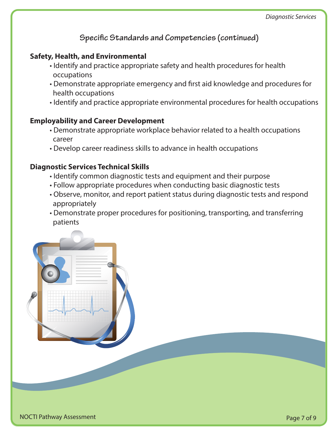**Specific Standards and Competencies (continued)** 

## **Safety, Health, and Environmental**

- Identify and practice appropriate safety and health procedures for health occupations
- Demonstrate appropriate emergency and first aid knowledge and procedures for health occupations
- Identify and practice appropriate environmental procedures for health occupations

#### **Employability and Career Development**

- Demonstrate appropriate workplace behavior related to a health occupations career
- Develop career readiness skills to advance in health occupations

#### **Diagnostic Services Technical Skills**

- Identify common diagnostic tests and equipment and their purpose
- Follow appropriate procedures when conducting basic diagnostic tests
- Observe, monitor, and report patient status during diagnostic tests and respond appropriately
- Demonstrate proper procedures for positioning, transporting, and transferring patients

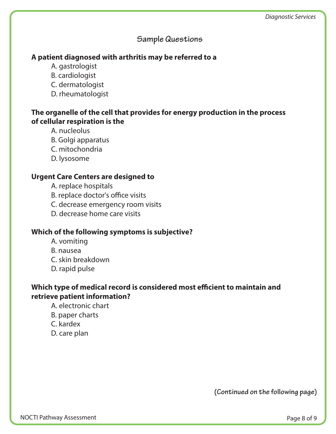## **Sample Questions**

#### **A patient diagnosed with arthritis may be referred to a**

- A. gastrologist
- B. cardiologist
- C. dermatologist
- D. rheumatologist

## **The organelle of the cell that provides for energy production in the process of cellular respiration is the**

- A. nucleolus
- B. Golgi apparatus
- C. mitochondria
- D. lysosome

## **Urgent Care Centers are designed to**

- A. replace hospitals
- B. replace doctor's office visits
- C. decrease emergency room visits
- D. decrease home care visits

## **Which of the following symptoms is subjective?**

- A. vomiting
- B. nausea
- C. skin breakdown
- D. rapid pulse

## Which type of medical record is considered most efficient to maintain and **retrieve patient information?**

- A. electronic chart
- B. paper charts
- C. kardex
- D. care plan